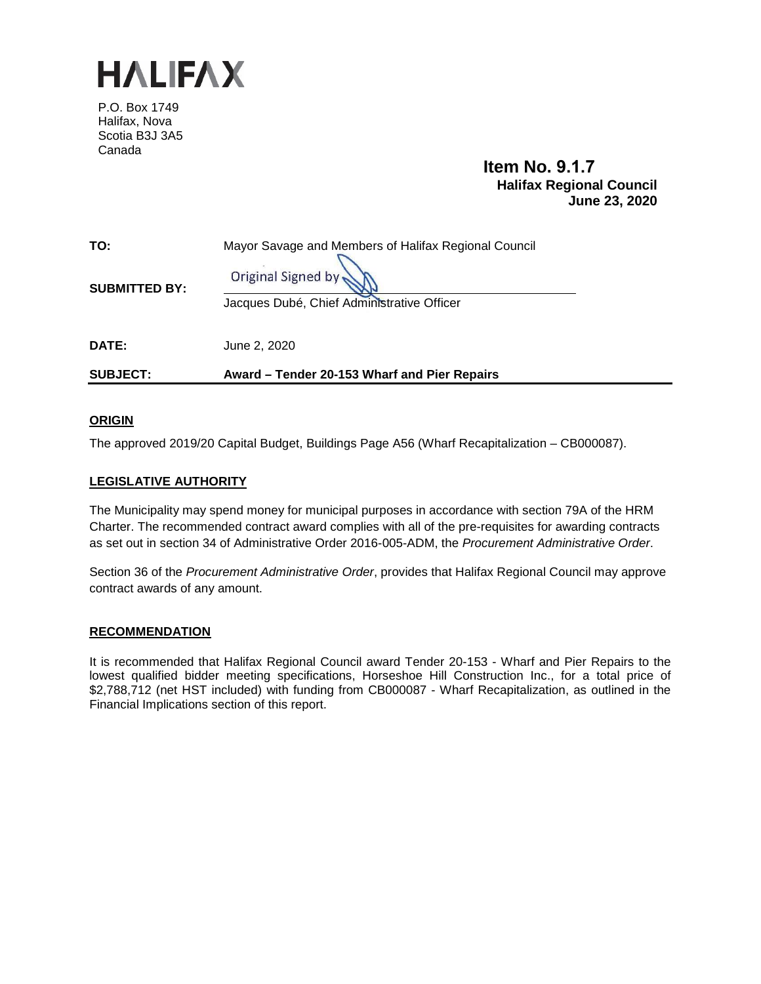

P.O. Box 1749 Halifax, Nova Scotia B3J 3A5 Canada

# **Item No. 9.1.7 Halifax Regional Council June 23, 2020**

| TO:<br><b>SUBMITTED BY:</b> | Mayor Savage and Members of Halifax Regional Council<br>Original Signed by: |
|-----------------------------|-----------------------------------------------------------------------------|
|                             | Jacques Dubé, Chief Administrative Officer                                  |
| DATE:                       | June 2, 2020                                                                |
| <b>SUBJECT:</b>             | Award – Tender 20-153 Wharf and Pier Repairs                                |

## **ORIGIN**

The approved 2019/20 Capital Budget, Buildings Page A56 (Wharf Recapitalization – CB000087).

## **LEGISLATIVE AUTHORITY**

The Municipality may spend money for municipal purposes in accordance with section 79A of the HRM Charter. The recommended contract award complies with all of the pre-requisites for awarding contracts as set out in section 34 of Administrative Order 2016-005-ADM, the *Procurement Administrative Order*.

Section 36 of the *Procurement Administrative Order*, provides that Halifax Regional Council may approve contract awards of any amount.

## **RECOMMENDATION**

It is recommended that Halifax Regional Council award Tender 20-153 - Wharf and Pier Repairs to the lowest qualified bidder meeting specifications, Horseshoe Hill Construction Inc., for a total price of \$2,788,712 (net HST included) with funding from CB000087 - Wharf Recapitalization, as outlined in the Financial Implications section of this report.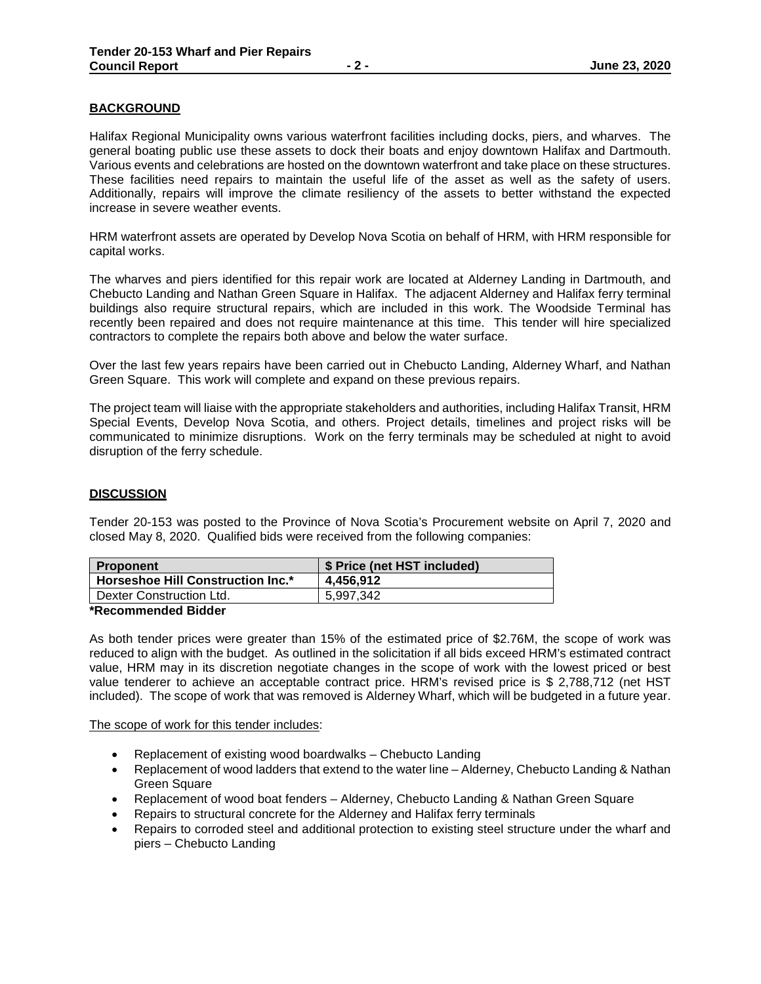## **BACKGROUND**

Halifax Regional Municipality owns various waterfront facilities including docks, piers, and wharves. The general boating public use these assets to dock their boats and enjoy downtown Halifax and Dartmouth. Various events and celebrations are hosted on the downtown waterfront and take place on these structures. These facilities need repairs to maintain the useful life of the asset as well as the safety of users. Additionally, repairs will improve the climate resiliency of the assets to better withstand the expected increase in severe weather events.

HRM waterfront assets are operated by Develop Nova Scotia on behalf of HRM, with HRM responsible for capital works.

The wharves and piers identified for this repair work are located at Alderney Landing in Dartmouth, and Chebucto Landing and Nathan Green Square in Halifax. The adjacent Alderney and Halifax ferry terminal buildings also require structural repairs, which are included in this work. The Woodside Terminal has recently been repaired and does not require maintenance at this time. This tender will hire specialized contractors to complete the repairs both above and below the water surface.

Over the last few years repairs have been carried out in Chebucto Landing, Alderney Wharf, and Nathan Green Square. This work will complete and expand on these previous repairs.

The project team will liaise with the appropriate stakeholders and authorities, including Halifax Transit, HRM Special Events, Develop Nova Scotia, and others. Project details, timelines and project risks will be communicated to minimize disruptions. Work on the ferry terminals may be scheduled at night to avoid disruption of the ferry schedule.

#### **DISCUSSION**

Tender 20-153 was posted to the Province of Nova Scotia's Procurement website on April 7, 2020 and closed May 8, 2020. Qualified bids were received from the following companies:

| <b>Proponent</b>                  | \$ Price (net HST included) |
|-----------------------------------|-----------------------------|
| Horseshoe Hill Construction Inc.* | 4.456.912                   |
| Dexter Construction Ltd.          | 5.997.342                   |
| $\mathbf{A}$                      |                             |

#### **\*Recommended Bidder**

As both tender prices were greater than 15% of the estimated price of \$2.76M, the scope of work was reduced to align with the budget. As outlined in the solicitation if all bids exceed HRM's estimated contract value, HRM may in its discretion negotiate changes in the scope of work with the lowest priced or best value tenderer to achieve an acceptable contract price. HRM's revised price is \$ 2,788,712 (net HST included). The scope of work that was removed is Alderney Wharf, which will be budgeted in a future year.

The scope of work for this tender includes:

- Replacement of existing wood boardwalks Chebucto Landing
- Replacement of wood ladders that extend to the water line Alderney, Chebucto Landing & Nathan Green Square
- Replacement of wood boat fenders Alderney, Chebucto Landing & Nathan Green Square
- Repairs to structural concrete for the Alderney and Halifax ferry terminals
- Repairs to corroded steel and additional protection to existing steel structure under the wharf and piers – Chebucto Landing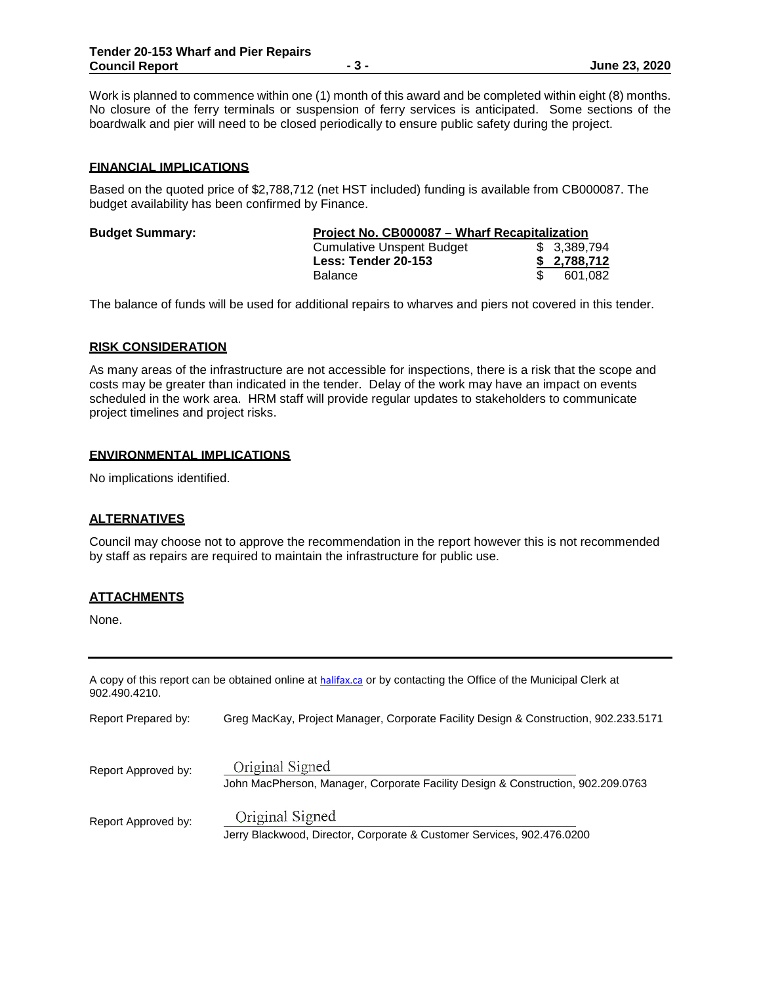**- 3 - June 23, 2020**

Work is planned to commence within one (1) month of this award and be completed within eight (8) months. No closure of the ferry terminals or suspension of ferry services is anticipated. Some sections of the boardwalk and pier will need to be closed periodically to ensure public safety during the project.

## **FINANCIAL IMPLICATIONS**

Based on the quoted price of \$2,788,712 (net HST included) funding is available from CB000087. The budget availability has been confirmed by Finance.

| <b>Budget Summary:</b> | Project No. CB000087 - Wharf Recapitalization |              |
|------------------------|-----------------------------------------------|--------------|
|                        | <b>Cumulative Unspent Budget</b>              | \$ 3.389.794 |
|                        | Less: Tender 20-153                           | \$2.788.712  |
|                        | <b>Balance</b>                                | 601.082      |

The balance of funds will be used for additional repairs to wharves and piers not covered in this tender.

#### **RISK CONSIDERATION**

As many areas of the infrastructure are not accessible for inspections, there is a risk that the scope and costs may be greater than indicated in the tender. Delay of the work may have an impact on events scheduled in the work area. HRM staff will provide regular updates to stakeholders to communicate project timelines and project risks.

## **ENVIRONMENTAL IMPLICATIONS**

No implications identified.

## **ALTERNATIVES**

Council may choose not to approve the recommendation in the report however this is not recommended by staff as repairs are required to maintain the infrastructure for public use.

## **ATTACHMENTS**

None.

| 902.490.4210.       | A copy of this report can be obtained online at halifax.ca or by contacting the Office of the Municipal Clerk at |
|---------------------|------------------------------------------------------------------------------------------------------------------|
| Report Prepared by: | Greg MacKay, Project Manager, Corporate Facility Design & Construction, 902.233.5171                             |
| Report Approved by: | Original Signed<br>John MacPherson, Manager, Corporate Facility Design & Construction, 902.209.0763              |
| Report Approved by: | Original Signed<br>Jerry Blackwood, Director, Corporate & Customer Services, 902.476.0200                        |